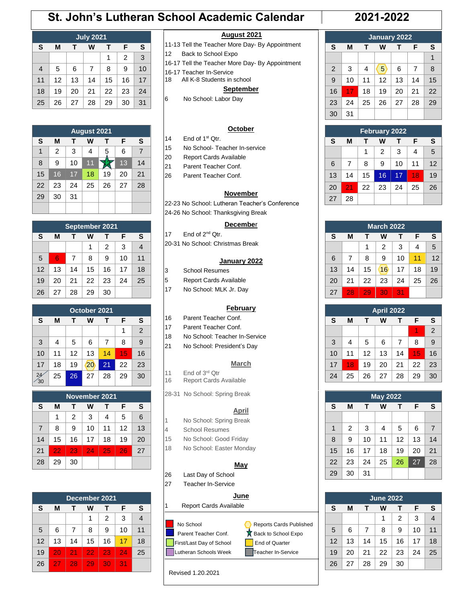# **St. John's Lutheran School Academic Calendar 2021-2022**

## **July 2021 S M T W T F S**  $1 \mid 2 \mid 3$ 4 | 5 | 6 | 7 | 8 | 9 | 10 11 12 13 14 15 16 17 18 19 20 21 22 23 24 25 26 27 28 29 30 31

| <b>August 2021</b> |    |    |    |    |    |    |
|--------------------|----|----|----|----|----|----|
| S                  | M  | т  | W  | т  | F  | S  |
| 1                  | 2  | 3  | 4  | 5  | 6  | 7  |
| 8                  | 9  | 10 | 11 |    | 13 | 14 |
| 15                 | 16 | 17 | 18 | 19 | 20 | 21 |
| 22                 | 23 | 24 | 25 | 26 | 27 | 28 |
| 29                 | 30 | 31 |    |    |    |    |
|                    |    |    |    |    |    |    |

| <b>September 2021</b>                      |                                  |    |    |    |    |    |  |
|--------------------------------------------|----------------------------------|----|----|----|----|----|--|
| S                                          | M                                | т  | w  | т  | F  | S  |  |
| $\overline{4}$<br>3<br>$\overline{2}$<br>1 |                                  |    |    |    |    |    |  |
| 5                                          | 7<br>8<br>9<br>10<br>11<br>6     |    |    |    |    |    |  |
| 12                                         | 13                               | 14 | 15 | 16 | 17 | 18 |  |
| 19                                         | 25<br>22<br>21<br>20<br>23<br>24 |    |    |    |    |    |  |
| 26                                         | 27                               | 28 | 29 | 30 |    |    |  |

| October 2021 |                            |    |    |    |    |    |  |  |
|--------------|----------------------------|----|----|----|----|----|--|--|
| S            | S<br>M<br>F<br>W<br>т<br>т |    |    |    |    |    |  |  |
|              | $\overline{2}$<br>1        |    |    |    |    |    |  |  |
| 3            | 4                          | 5  | 6  | 7  | 8  | 9  |  |  |
| 10           | 11                         | 12 | 13 | 14 | 15 | 16 |  |  |
| 17           | 18                         | 19 | 20 | 21 | 22 | 23 |  |  |
| 30           | 25                         | 26 | 27 | 28 | 29 | 30 |  |  |

| November 2021  |                            |                |                 |    |    |    |  |  |
|----------------|----------------------------|----------------|-----------------|----|----|----|--|--|
| S              | S<br>F<br>M<br>w<br>т<br>т |                |                 |    |    |    |  |  |
|                | 1                          | $\overline{2}$ | 3               | 4  | 5  | 6  |  |  |
| $\overline{7}$ | 8                          | 9              | 10              | 11 | 12 | 13 |  |  |
| 14             | 15                         | 16             | 17              | 18 | 19 | 20 |  |  |
| 21             | 22                         | 23             | $2\overline{4}$ | 25 | 26 | 27 |  |  |
| 28             | 29                         | 30             |                 |    |    |    |  |  |

|                  | December 2021         |    |    |    |    |    |  |  |
|------------------|-----------------------|----|----|----|----|----|--|--|
| S                | s<br>м<br>F<br>w<br>т |    |    |    |    |    |  |  |
| 3<br>2<br>4<br>1 |                       |    |    |    |    |    |  |  |
| 5                | 6                     | 7  | 8  | 9  | 10 | 11 |  |  |
| 12               | 13                    | 14 | 15 | 16 | 17 | 18 |  |  |
| 19               | 20                    | 21 | 22 | 23 | 24 | 25 |  |  |
| 26               | 27                    | 28 | 29 | 30 | 31 |    |  |  |

#### **August 2021**

- 11-13 Tell the Teacher More Day- By Appointment
- 12 Back to School Expo
- 16-17 Tell the Teacher More Day- By Appointment
- 16-17 Teacher In-Service
- 18 All K-8 Students in school

#### **September**

6 No School: Labor Day

#### **October**

- 14 End of  $1<sup>st</sup> Qtr$ .
- 15 No School- Teacher In-service
- 20 Report Cards Available
- 21 Parent Teacher Conf.
- 26 Parent Teacher Conf.

#### **November**

22-23 No School: Lutheran Teacher's Conference 24-26 No School: Thanksgiving Break

#### **Decembe**r

- 17 End of 2<sup>nd</sup> Qtr.
- 20-31 No School: Christmas Break

#### **January 2022**

- 3 School Resumes 5 Report Cards Available
- 17 No School: MLK Jr. Day
	-

#### **February**

- 16 Parent Teacher Conf.
- 17 Parent Teacher Conf.
- 18 No School: Teacher In-Service
- 21 No School: President's Day

#### **March**

- 11 End of 3<sup>rd</sup> Qtr<br>16 Report Cards Report Cards Available
- 28-31 No School: Spring Break

#### **April**

- 1 No School: Spring Break
- 
- 15 No School: Good Friday
- 18 No School: Easter Monday

#### **May**

- 26 Last Day of School
- 27 Teacher In-Service

### **June**

- 1 Report Cards Available
- 



Revised 1.20.2021

|    | January 2022 |                  |                |    |    |    |
|----|--------------|------------------|----------------|----|----|----|
| S  | M            | W<br>F<br>т<br>т |                |    |    |    |
|    |              |                  |                |    |    |    |
| 2  | 3            | 4                | 5 <sup>2</sup> | 6  | 7  | 8  |
| 9  | 10           | 11               | 12             | 13 | 14 | 15 |
| 16 | 17           | 18               | 19             | 20 | 21 | 22 |
| 23 | 24           | 25               | 26             | 27 | 28 | 29 |
| 30 | 31           |                  |                |    |    |    |

| <b>February 2022</b>               |                               |    |    |    |    |    |  |  |
|------------------------------------|-------------------------------|----|----|----|----|----|--|--|
| S                                  | S<br>F<br>М<br>w<br>т         |    |    |    |    |    |  |  |
| $\overline{2}$<br>3<br>5<br>4<br>1 |                               |    |    |    |    |    |  |  |
| 6                                  | 12<br>10<br>8<br>9<br>7<br>11 |    |    |    |    |    |  |  |
| 13                                 | 14                            | 15 | 16 | 17 | 18 | 19 |  |  |
| 20                                 | 21                            | 22 | 23 | 24 | 25 | 26 |  |  |
| 27                                 | 28                            |    |    |    |    |    |  |  |

| <b>March 2022</b> |    |                  |    |    |    |    |
|-------------------|----|------------------|----|----|----|----|
| S                 | М  | F<br>W<br>т<br>т |    |    |    |    |
|                   |    | 1                | 2  | 3  | 4  | 5  |
| 6                 | 7  | 8                | 9  | 10 | 11 | 12 |
| 13                | 14 | 15               | 16 | 17 | 18 | 19 |
| 20                | 21 | 22               | 23 | 24 | 25 | 26 |
| 27                | 28 | 29               | 30 | 31 |    |    |

|    | <b>April 2022</b> |    |    |    |    |    |  |
|----|-------------------|----|----|----|----|----|--|
| S  | M                 |    | w  | т  | F  | S  |  |
|    |                   |    |    |    |    | 2  |  |
| 3  | 4                 | 5  | 6  | 7  | 8  | 9  |  |
| 10 | 11                | 12 | 13 | 14 | 15 | 16 |  |
| 17 | 18                | 19 | 20 | 21 | 22 | 23 |  |
| 24 | 25                | 26 | 27 | 28 | 29 | 30 |  |

|    | <b>May 2022</b> |                  |    |    |    |                |  |
|----|-----------------|------------------|----|----|----|----------------|--|
| S  | M               | W<br>т<br>F<br>т |    |    |    |                |  |
|    |                 |                  |    |    |    |                |  |
| 1  | 2               | 3                | 4  | 5  | 6  | $\overline{7}$ |  |
| 8  | 9               | 10               | 11 | 12 | 13 | 14             |  |
| 15 | 16              | 17               | 18 | 19 | 20 | 21             |  |
| 22 | 23              | 24               | 25 | 26 | 27 | 28             |  |
| 29 | 30              | 31               |    |    |    |                |  |

| <b>June 2022</b> |    |    |    |    |    |                |  |
|------------------|----|----|----|----|----|----------------|--|
| S                | M  |    | w  | т  | F  | S              |  |
|                  |    |    | 1  | 2  | 3  | $\overline{4}$ |  |
| 5                | 6  | 7  | 8  | 9  | 10 | 11             |  |
| 12               | 13 | 14 | 15 | 16 | 17 | 18             |  |
| 19               | 20 | 21 | 22 | 23 | 24 | 25             |  |
| 26               | 27 | 28 | 29 | 30 |    |                |  |

- 4 School Resumes
-